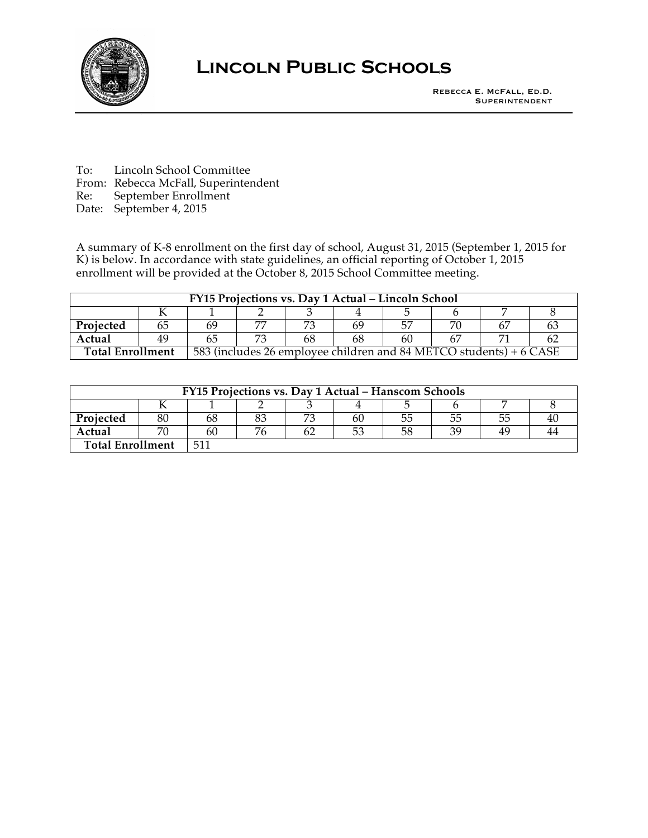

## **Lincoln Public Schools**

To: Lincoln School Committee From: Rebecca McFall, Superintendent

Re: September Enrollment

Date: September 4, 2015

A summary of K-8 enrollment on the first day of school, August 31, 2015 (September 1, 2015 for K) is below. In accordance with state guidelines, an official reporting of October 1, 2015 enrollment will be provided at the October 8, 2015 School Committee meeting.

| FY15 Projections vs. Day 1 Actual - Lincoln School |  |                                                                    |  |  |    |    |  |  |  |
|----------------------------------------------------|--|--------------------------------------------------------------------|--|--|----|----|--|--|--|
|                                                    |  |                                                                    |  |  |    |    |  |  |  |
| Projected                                          |  | 69                                                                 |  |  | 65 |    |  |  |  |
| Actual                                             |  | 65                                                                 |  |  | h۲ | 60 |  |  |  |
| <b>Total Enrollment</b>                            |  | 583 (includes 26 employee children and 84 METCO students) + 6 CASE |  |  |    |    |  |  |  |

| FY15 Projections vs. Day 1 Actual – Hanscom Schools |    |     |  |  |    |  |    |    |  |
|-----------------------------------------------------|----|-----|--|--|----|--|----|----|--|
|                                                     |    |     |  |  |    |  |    |    |  |
| Projected                                           |    |     |  |  | ы  |  | 55 | 55 |  |
| Actual                                              | ٣r | bl. |  |  | 53 |  | 2C | 49 |  |
| <b>Total Enrollment</b>                             |    | 51  |  |  |    |  |    |    |  |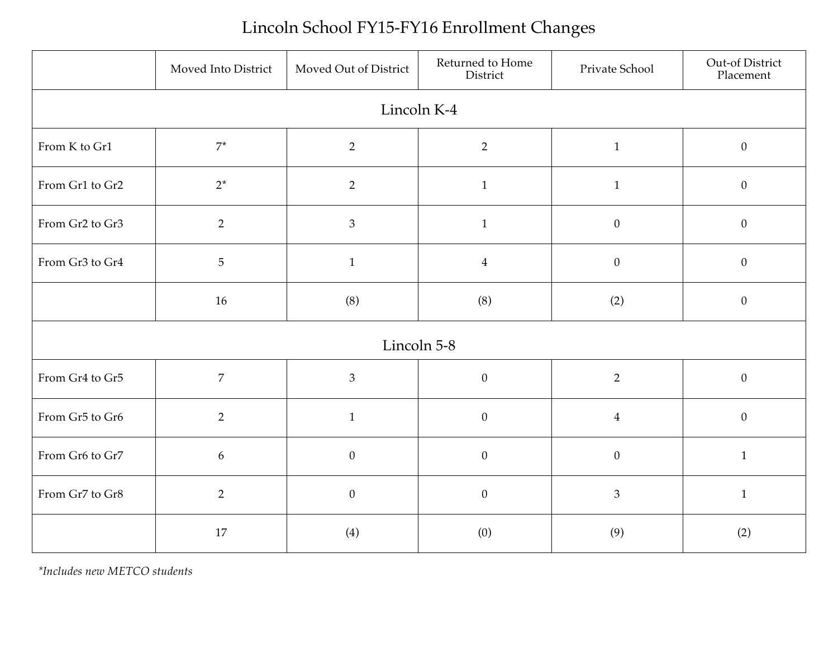## Lincoln School FY15-FY16 Enrollment Changes

|                 | Moved Into District | Moved Out of District | Returned to Home<br>District | Private School   | Out-of District<br>Placement |  |  |  |
|-----------------|---------------------|-----------------------|------------------------------|------------------|------------------------------|--|--|--|
| Lincoln K-4     |                     |                       |                              |                  |                              |  |  |  |
| From K to Gr1   | $7^*$               | $\overline{2}$        | $\overline{2}$               | $\mathbf{1}$     | $\boldsymbol{0}$             |  |  |  |
| From Gr1 to Gr2 | $2^*$               | $\overline{2}$        | $\mathbf{1}$                 | $\mathbf{1}$     | $\boldsymbol{0}$             |  |  |  |
| From Gr2 to Gr3 | $\overline{2}$      | $\mathfrak{Z}$        | $\mathbf{1}$                 | $\boldsymbol{0}$ | $\boldsymbol{0}$             |  |  |  |
| From Gr3 to Gr4 | $\overline{5}$      | $\mathbf{1}$          | $\overline{4}$               | $\boldsymbol{0}$ | $\boldsymbol{0}$             |  |  |  |
|                 | 16                  | (8)                   | (8)                          | (2)              | $\boldsymbol{0}$             |  |  |  |
| Lincoln 5-8     |                     |                       |                              |                  |                              |  |  |  |
| From Gr4 to Gr5 | $\overline{7}$      | $\mathfrak{Z}$        | $\theta$                     | $\overline{2}$   | $\boldsymbol{0}$             |  |  |  |
| From Gr5 to Gr6 | $\overline{2}$      | $\mathbf{1}$          | $\boldsymbol{0}$             | $\overline{4}$   | $\theta$                     |  |  |  |
| From Gr6 to Gr7 | 6                   | $\mathbf{0}$          | $\mathbf{0}$                 | $\theta$         | $\mathbf{1}$                 |  |  |  |
| From Gr7 to Gr8 | $\overline{2}$      | $\boldsymbol{0}$      | $\boldsymbol{0}$             | $\mathfrak{Z}$   | $\mathbf{1}$                 |  |  |  |
|                 | 17                  | (4)                   | (0)                          | (9)              | (2)                          |  |  |  |

*\*Includes new METCO students*